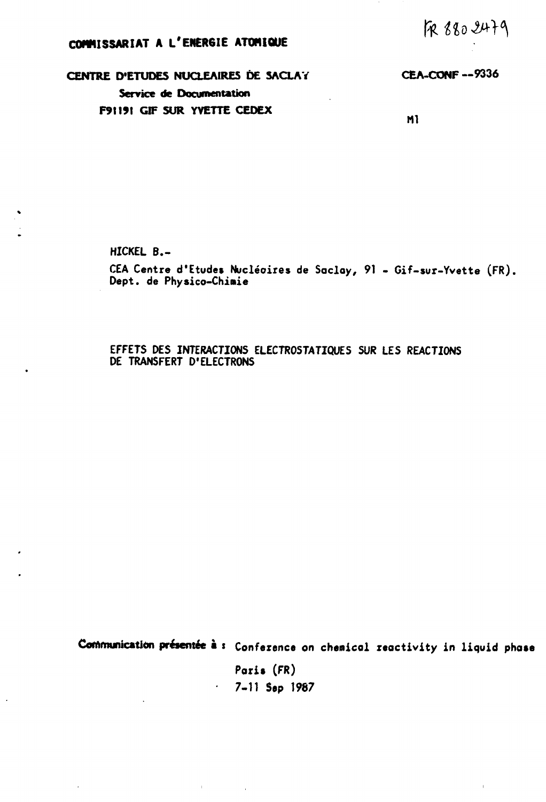*fatU3»}°\* 

## **COMMISSARIAT A L'ENERGIE ATOMIQUE**

**CENTRE D'ETUDES NUCLEAIRES DE 3ACLAY CEA-CONF —9336 Service de Documentation F9tt91 GIF SUR YVETTE CEDEX** 

**Ml** 

**HICKEL B.-**

 $\bullet$ 

 $\cdot$ 

 $\ddot{\phantom{a}}$ 

CEA Centre d'Etudes Nucléoires de Socloy, 91 - Gif-sur-Yvette (FR), Dept. de Physico-Chimie

EFFETS DES INTERACTIONS ELECTROSTATIQUES SUR LES REACTIONS DE TRANSFERT D'ELECTRONS

**Communication présentée à : Conference on chemicol reactivity in liquid phase** 

**Paris** (FR) 7-11 **Sep** 1987

 $\epsilon$ 

 $\sim 0.01$  and  $\sim 0.01$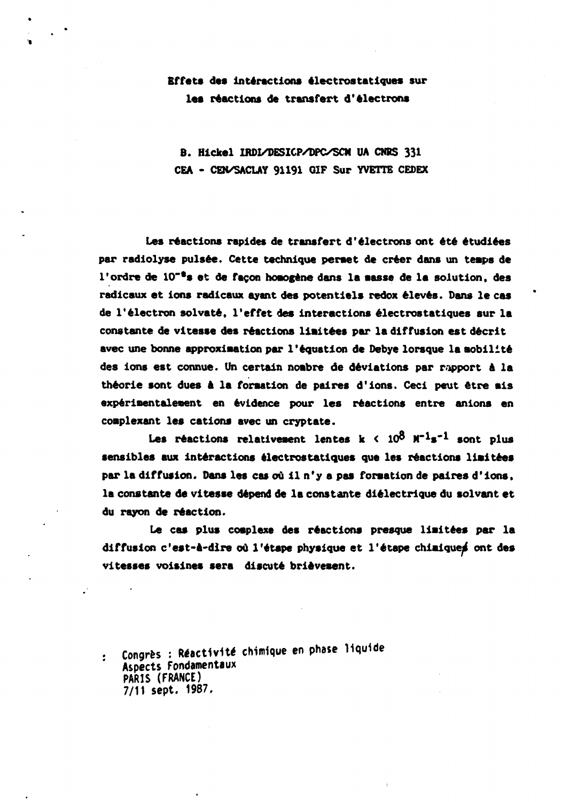## **Effets des interactions électrostatiques sur les réactions de transfert d'électrons**

**B. Hlckel IRDI/DESICP/DPC/SCM UA CNRS 331 CEA - CEN/SACLAY 91191 GIF Sur YVETTE CEDEX** 

**Les réactions rapides de transfert d'électrons ont été étudiées par radiolyse puisée. Cette technique perset de créer dans un temps de l'ordre de 10~\*s et de façon honogéne dans la aasse de la solution, des radicaux et ions radicaux ayant des potentiels redox élevés. Dans le cas de l'électron solvate, l'effet des interactions électrostatiques sur la constante de vitesse des réactions liaitées par la diffusion est décrit avec une bonne approxlaation par l'équation de Debye lorsque la mobilité des ions est connue. Un certain nombre de déviations par rapport A la théorie sont dues A la formation de paires d'ions. Ceci peut être mis expérimentalement en évidence pour les réactions entre anions en coaplexant les cations avec un cryptate.** 

Les réactions relativement lentes  $k < 10^8$   $M^{-1}s^{-1}$  sont plus **sensibles aux interactions électrostatiques que les réactions limitées par la diffusion. Dans les cas où 11 n'y a pas formation de paires d'ions, la constante de vitesse dépend de la constante diélectrique du solvant et du rayon de réaction.** 

**Le cas plus complexe des réactions presque liaitées par la diffusion c'est-A-dire où l'étape physique et l'étape chimique^ ont des vitesses voisines sera discuté brièvement.** 

**: Congrès : Réactivlté chimique en phase liquide Aspects Fondamentaux PARIS (FRANCE) 7/11 sept. 1987.**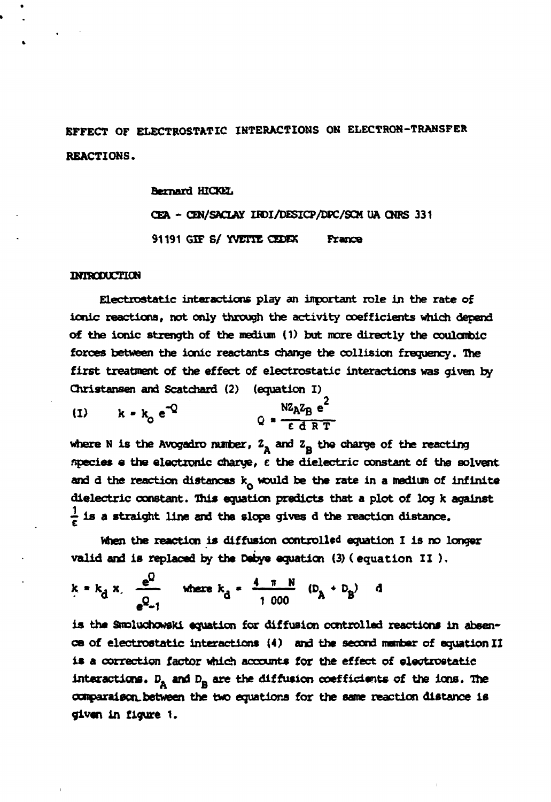**EFFECT OF ELECTROSTATIC INTERACTIONS ON ELECTRON-TRANSFER REACTIONS.** 

**Bernard HICKEL** 

CEA - CEN/SACLAY IRDI/DESICP/DPC/SCM UA CNRS 331 **91191 GIF S/ YVETTE CEDEX France** 

#### **INTRODUCTION**

**Electrostatic interactions play an important role in the rate of ionic reactions, not only through the activity coefficients which depend of the ionic strength of the medium (1) but more directly the coulombic forces between the ionic reactants change the collision frequency. The first treatment of the effect of electrostatic interactions was given by Christansen and Scatchard (2) (equation I)** 

$$
(1) \t k = k_0 e^{-Q} \t\t Q = \frac{Nz_A z_B e^2}{\epsilon d RT}
$$

where N is the Avogadro number,  $Z_A$  and  $Z_B$  the charge of the reacting **species e the electronic charye, e the dielectric constant of the solvent and d the reaction distances k would be the rate in a medium of infinite dielectric constant. This equation predicts that a plot of log k against**   $\frac{1}{6}$  is a straight line and the slope gives d the reaction distance.

**When the reaction is diffusion controlled equation I is no longer valid and is replaced by the Debye equation (3) ( equation II ).** 

$$
k = k_d x
$$
,  $\frac{e^U}{e^Q - 1}$  where  $k_d = \frac{4 \pi N}{1.000}$   $(D_A + D_B)$  d

**is the Smoluchowski equation for diffusion controlled reactions in absence of electrostatic interactions (4) and the second member of equation II is a correction factor which accounts for the effect of electrostatic**  interactions. D<sub>A</sub> and D<sub>R</sub> are the diffusion coefficients of the ions. The **comparaison, between the two equations for the same reaction distance is given in figure 1.**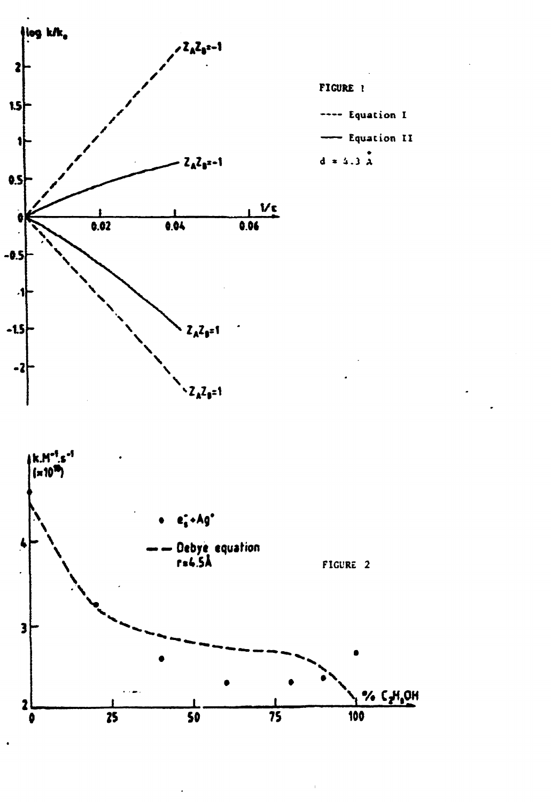

FIGURE 1

---- Equation I

- Equation II

 $d = 4.3 \text{ Å}$ 

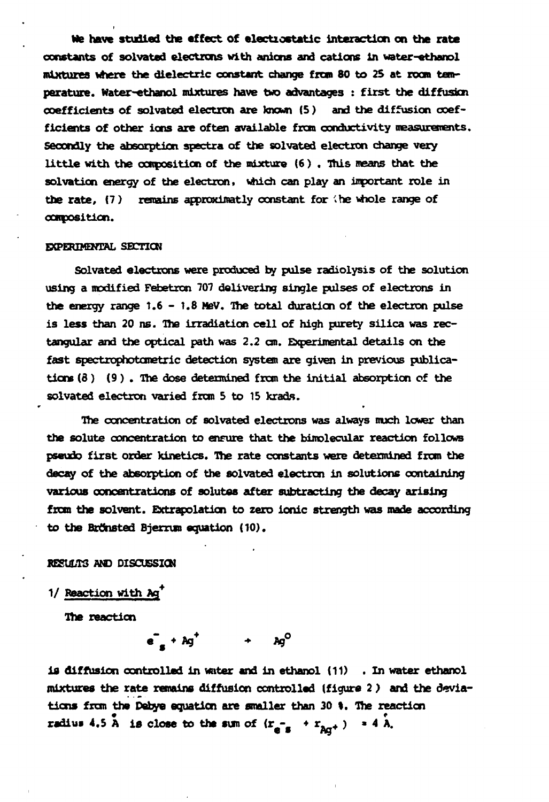**Me have studied the affect of electiostatic interaction on the rate constants of solvated electrons with anions and cations in water-ethanol mixtures where the dielectric constant change frem 80 to 25 at room temperature. Water-ethanol mixtures have two advantages : first the diffusion coefficients of solvated electron are known (5 ) and the diffusion coefficients of other ions are often available from conductivity measurements. Secondly the absorption spectra of the solvated electron change very little with the composition of the mixture (6 ) . This means that the solvation energy of the electron, which can play an important role in the rate, (7 ) remains approximatly constant for the whole range of composition.** 

#### **EXPERIMENTAL SECTION**

**Solvated electrons were produced by pulse radiolysis of the solution using a modified Febetxon 707 delivering single pulses of electrons in the energy range 1.6 - 1.8 MeV. The total duration of the electron pulse is less than 20 ns. The irradiation cell of high purety silica was rectangular and the optical path was 2.2 an. Experimental details on the fast spectrophotonetric detection system are given in previous publications (8 ) (9 ) . The dose determined from the initial absorption of the**  solvated electron varied from 5 to 15 krads.

**The concentration of solvated electrons was always much lower than the solute concentration to ensure that the bimolecular reaction follows pseudo first order kinetics. The rate constants were determined from the decay of the absorption of the solvated electron in solutions containing various concentrations of solutes after subtracting the decay arising from the solvent. Extrapolation to zero ionic strength was made according**  to the Brönsted Bjerrum equation (10).

### **RESULTS AND DISCUSSION**

**1/ Reaction with Ag\*** 

**The reaction** 

 $e^{\bullet}$  + Ag<sup><sup>†</sup>  $\qquad$  + Ag<sup>O</sup></sup>

**is diffusion controlled in water and in ethanol (11) .In water ethanol mixtures the rate remains diffusion controlled (figure 2 ) and the deviations frcm the Debye equation are smaller than 30 I. The reaction**   $\tilde{A}$  is close to the sim of  $(r = 1 + r)$ ,  $\tilde{A}$   $\tilde{A}$ **radiu» 4,5 A is close to the sum of (r - • r. + ) \* 4 A.**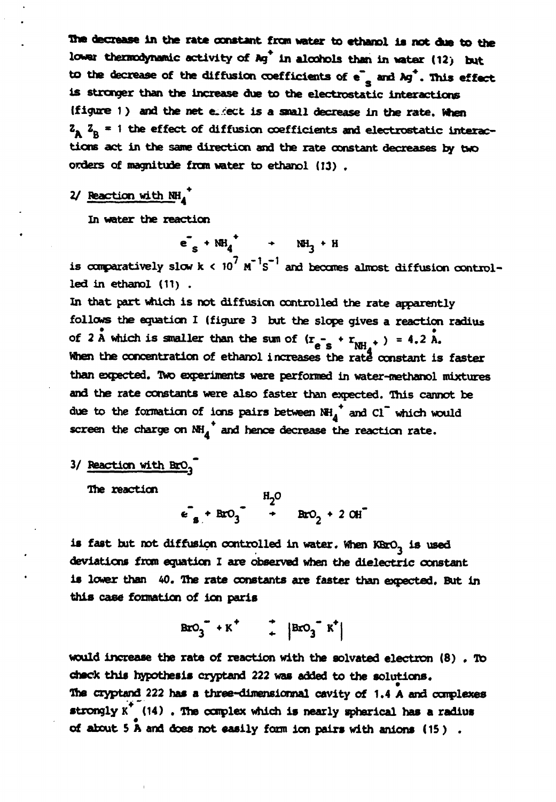The decrease in the rate constant from water to ethanol is not due to the lower thermodynamic activity of Ag<sup>\*</sup> in alcohols than in water (12) but **to the decrease of the diffusion coefficients of e~ and Ag\*. This effect is stronger than the increase due to the electrostatic interactions (figure 1)** and the net exiect is a small decrease in the rate. When  $Z_A$   $Z_B$  = 1 the effect of diffusion coefficients and electrostatic interac**tions act in the same direction and the rate constant decreases by two orders of magnitude from water to ethanol ( 13) .** 

# **2/ Reaction with NH ^**

**In water the reaction** 

**+**   $e_s + NH_4$   $\rightarrow$   $NH_3 + H$ 

is comparatively slow  $k < 10^7$  M<sup>-1</sup>s<sup>-1</sup> and becomes almost diffusion control**led in ethanol (11) .** 

**In that part which is not diffusion controlled the rate apparently follows the equation I (figure 3 but the slope gives a reaction radius**  of 2 A which is smaller than the sum of  $(r_{e^-s} + r_{NH_1^+}) = 4.2$  A. e s *""A*  **When the concentration of ethanol increases the raté constant is faster than expected. Two experiments were performed in water-methanol mixtures and the rate constants were also faster than expected. This cannot be due to the formation of ions pairs between NH.+ and Cl~ which would**  screen the charge on  $\overrightarrow{M_H}^*$  and hence decrease the reaction rate.

# **3/ Reaction with BrQ<sup>3</sup> "**

**The reaction** 

 $\epsilon_a + BrO_3$  **\*** BrO<sub>2</sub> + 2 OH

**is fast but not diffusion controlled in water. When KBrO- is used deviations from equation I are observed when the dielectric constant is lower than 40. The rate constants are faster than expected. But in this case formation of ion paris** 

$$
BxO_3^* + K^* \qquad \qquad + \qquad \left| BxO_3^* K^* \right|
$$

**would increase the rate of reaction with the solvated electron (8) . To check this hypothesis cryptand 222 was added to the solutions. The cryptand 222 has a three-dimensionnal cavity of 1.4 A and complexes strongly K\* (14) .The complex which is nearly spherical has a radius of about 5 A and dees not easily form ion pairs with anions ( 15 ) .**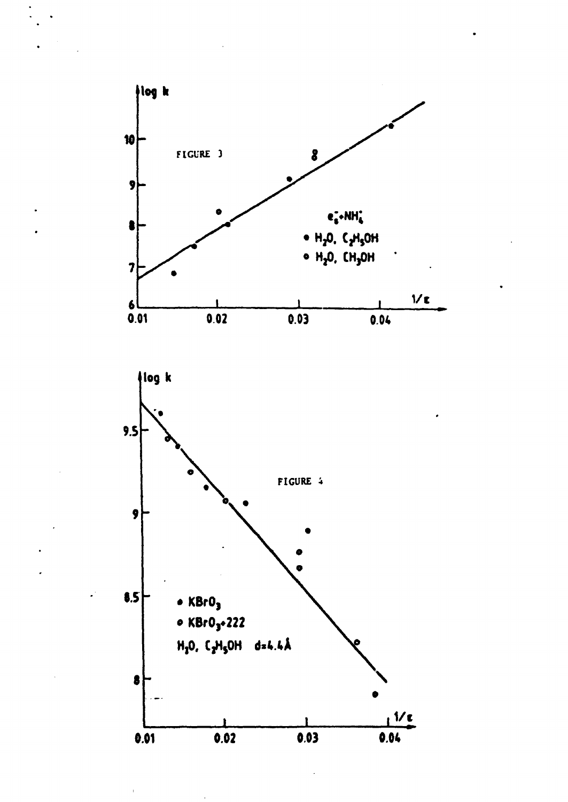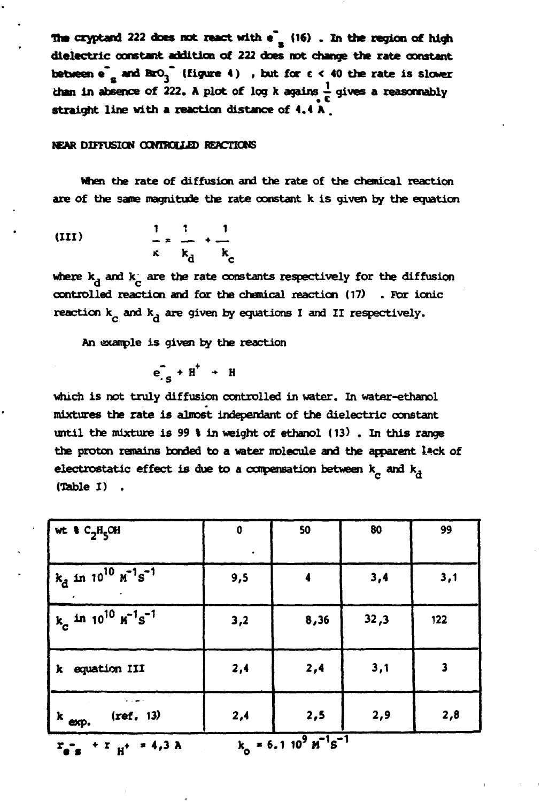**The cryptand 222 does not react with e"s (16) . In the region of high dielectric constant addition of 222 does not change the rate constant**  between  $e^r$  and  $BrO_3$ <sup>\*</sup> (figure  $4$ ), but for  $e < 40$  the rate is slower than in absence of 222. A plot of log k agains  $\frac{1}{\epsilon}$  gives a reasonnably **straight line with a reaction distance of 4.4 A .** 

#### **USAR MFFUSKW OGNTROUJS) REACTIONS**

**When the rate of diffusion and the rate of the chemical reaction are of the same magnitude the rate constant k is given by the equation** 

(III) 
$$
\frac{1}{\kappa} \frac{1}{k_{d}} + \frac{1}{k_{c}}
$$

where  $k_A$  and  $k_A$  are the rate constants respectively for the diffusion **controlled reaction and for the chemical reaction (17) . For ionic**  reaction k<sub>,</sub> and k<sub>a</sub> are given by equations I and II respectively.

**An example is given by the reaction** 

$$
e_{.S}^T + H^+ + H
$$

**which is not truly diffusion controlled in water. In water-ethanol mixtures the rate is almost indépendant of the dielectric constant until the mixture is 99 % in weight of ethanol (13) . In this range the proton remains bonded to a water molecule and the apparent lack of**  electrostatic effect is due to a compensation between  $k_A$  and  $k_A$ **(Table I) .** 

| wt $C_2H_5CH$                                                                  | $\mathbf 0$<br>$\bullet$ | 50   | 80   | 99                      |
|--------------------------------------------------------------------------------|--------------------------|------|------|-------------------------|
| $k_d$ in 10 <sup>10</sup> $\overline{M}$ <sup>-1</sup> s <sup>-1</sup>         | 9,5                      |      | 3,4  | 3,1                     |
| $k_c$ in 10 <sup>10</sup> $\text{m}^{-1}\text{s}^{-1}$                         | 3,2                      | 8,36 | 32,3 | 122                     |
| equation III<br>k.                                                             | 2,4                      | 2,4  | 3,1  | $\overline{\mathbf{3}}$ |
| (ref. 13)<br>$k$ exp.                                                          | 2,4                      | 2,5  | 2,9  | 2,8                     |
| $k_0 = 6.1 10^9 \text{ M}^{-1} \text{s}^{-1}$<br>$r_{e}$ + $r_{H}$ + $r$ 4,3 A |                          |      |      |                         |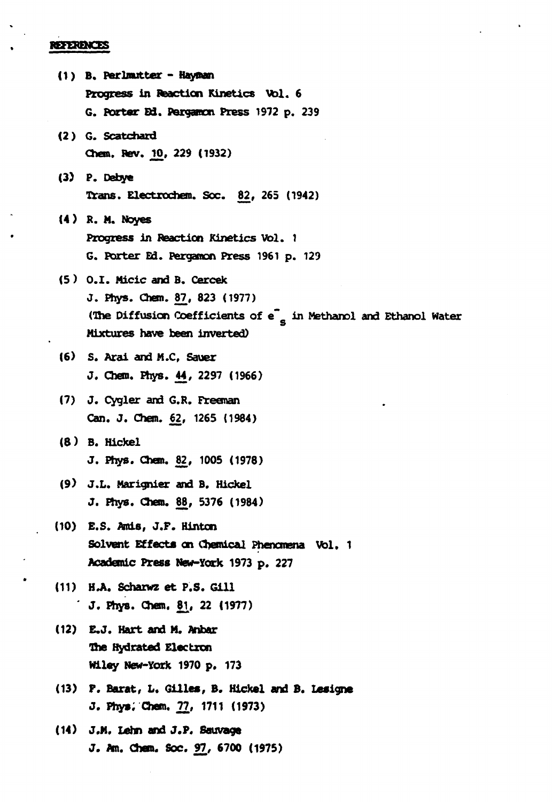### **REFERENCES**

**(1 ) B. Perlmutter - Hayman Progress in Reaction Kinetics Vol. 6 G. Barter Ed. Pergamon Press 1972 p. 239 (2) G. Scatchard Chen. Rev. JO, 229 (1932) (3) P. Debye Trans. Electrochem. Sec. 82, 265 (1942) (4 ) R. M. Noyes Progress in Reaction Kinetics Vol. 1 G. Porter Ed. Pergamon Press 1961 p. 129 (5 ) 0.1. Micic and B. Cercek J. Phys. Chan. 87, 823 (1977) (The Diffusion Coefficients of e~ in Methanol and Ethanol Water**  Mixtures have been inverted) **(6) S. Arai and M.C, Sauer J. Chen. Phys. 44, 2297 (1966) (7) J. Cygler and G.R. Freeman Can. J. Chem. 62, 1265 (1984) (8) B. Hickel J. Phys. Chan. 82, 1005 (1978) (9) J.L. Marignier and B. Hickel J. Phys. Chem. 88, 5376 (1984) (10) E.S. Aids, J.F. Hinton Solvent Effects on Chemical Phenomena Vol. 1 Academic Press New-York 1973 p. 227 (11) H .A. Scharwz et P.S. Gill ' J. Phys. Chem. \$1, 22 (1977) (12) E.J. Hart and M. Anbar The Hydrated Electron Wiley New-York 1970 p. 173 (13) F. Barat, L. Gilles, B. Hickel and B. Usigne J. Phys; Chem. 77, 1711 (1973) (14) J.M. Lehn and J.P. Sauvage J. Am. Chem. Soc. 97, 6700 (1975)**